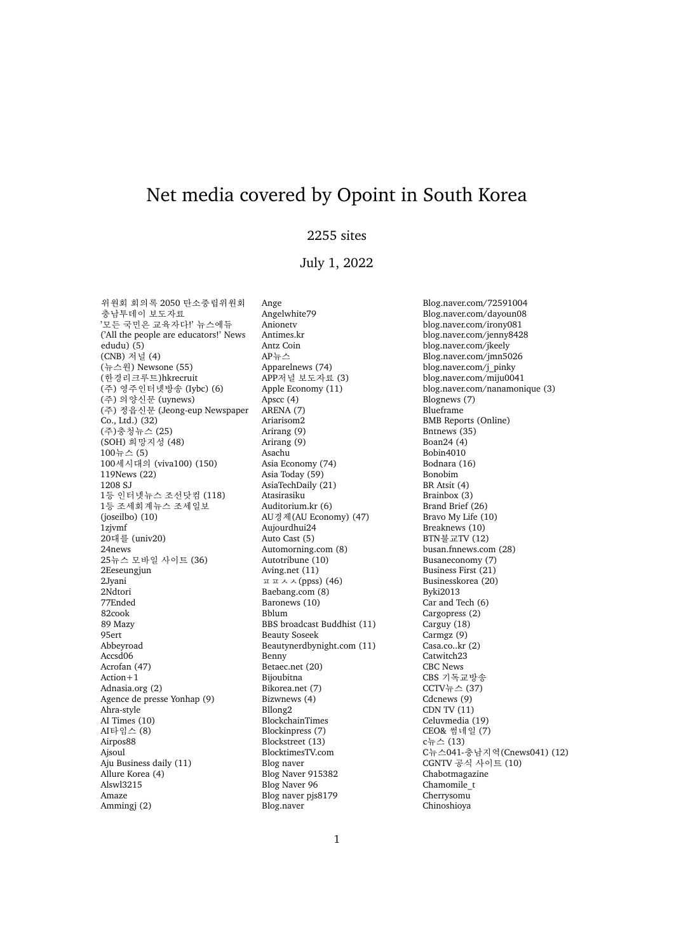## Net media covered by Opoint in South Korea

## 2255 sites

## July 1, 2022

위원회 회의록 2050 탄소중립위원회 충남투데이 보도자료 '모든 국민은 교육자다!' 뉴스에듀 ('All the people are educators!' News edudu) (5) (CNB) 저널 (4) (뉴스원) Newsone (55) (한경리크루트)hkrecruit (주) 영주인터넷방송 (Iybc) (6) (주) 의양신문 (uynews) (주) 정읍신문 (Jeong-eup Newspaper Co., Ltd.) (32) (주)충청뉴스 (25) (SOH) 희망지성 (48) 100뉴스 (5) 100세시대의 (viva100) (150) 119News (22) 1208 SJ 1등 인터넷뉴스 조선닷컴 (118) 1등 조세회계뉴스 조세일보 (joseilbo) (10) 1zjvmf 20대를 (univ20) 24news 25뉴스 모바일 사이트 (36) 2Eeseungjun 2Jyani 2Ndtori 77Ended 82cook 89 Mazy 95ert Abbeyroad Accsd06 Acrofan (47) Action+1 Adnasia.org (2) Agence de presse Yonhap (9) Ahra-style AI Times (10) AI타임스 (8) Airpos88 Ajsoul Aju Business daily (11) Allure Korea (4) Alswl3215 Amaze Ammingj (2)

Ange Angelwhite79 Anionetv Antimes.kr Antz Coin AP뉴스 Apparelnews (74) APP저널 보도자료 (3) Apple Economy (11) Apscc (4) ARENA (7) Ariarisom2 Arirang (9) Arirang (9) Asachu Asia Economy (74) Asia Today (59) AsiaTechDaily (21) Atasirasiku Auditorium.kr (6) AU경제(AU Economy) (47) Aujourdhui24 Auto Cast (5) Automorning.com (8) Autotribune (10) Aving.net (11)  $\overline{u} \overline{u} \wedge \wedge$  (ppss) (46) Baebang.com (8) Baronews (10) Bblum BBS broadcast Buddhist (11) Beauty Soseek Beautynerdbynight.com (11) Benny Betaec.net (20) Bijoubitna Bikorea.net (7) Bizwnews (4) Bllong2 BlockchainTimes Blockinpress (7) Blockstreet (13) BlocktimesTV.com Blog naver Blog Naver 915382 Blog Naver 96 Blog naver pjs8179 Blog.naver

Blog.naver.com/72591004 Blog.naver.com/dayoun08 blog.naver.com/irony081 blog.naver.com/jenny8428 blog.naver.com/jkeely Blog.naver.com/jmn5026 blog.naver.com/j\_pinky blog.naver.com/miju0041 blog.naver.com/nanamonique (3) Blognews (7) Blueframe BMB Reports (Online) Bntnews (35) Boan24 (4) Bobin4010 Bodnara (16) Bonobim BR Atsit (4) Brainbox (3) Brand Brief (26) Bravo My Life (10) Breaknews (10)  $BTN \not\equiv \exists TV (12)$ busan.fnnews.com (28) Busaneconomy (7) Business First (21) Businesskorea (20) Byki2013 Car and Tech (6) Cargopress (2) Carguy (18) Carmgz (9) Casa.co..kr (2) Catwitch23 CBC News CBS 기독교방송 CCTV뉴스 (37) Cdcnews (9) CDN TV (11) Celuvmedia (19) CEO& 썸네일 (7) c뉴스 (13) C뉴스041-충남지역(Cnews041) (12) CGNTV 공식 사이트 (10) Chabotmagazine Chamomile t Cherrysomu Chinoshioya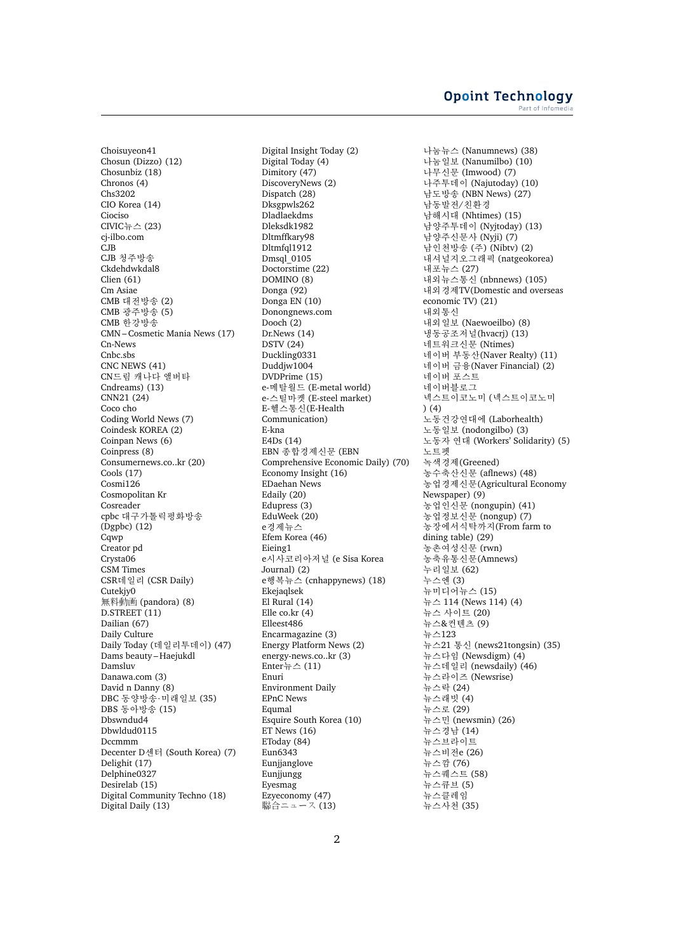Choisuyeon41 Chosun (Dizzo) (12) Chosunbiz (18) Chronos (4) Chs3202 CIO Korea (14) Ciociso CIVIC뉴스 (23) cj-ilbo.com C<sub>JB</sub> CJB 청주방송 Ckdehdwkdal8 Clien (61) Cm Asiae CMB 대전방송 (2) -<br>CMB 광주방송 (5) CMB 한강방송 CMN – Cosmetic Mania News (17) Cn-News Cnbc.sbs CNC NEWS (41) CN드림 캐나다 앨버타 Cndreams) (13) CNN21 (24) Coco cho Coding World News (7) Coindesk KOREA (2) Coinpan News (6) Coinpress (8) Consumernews.co..kr (20) Cools (17) Cosmi126 Cosmopolitan Kr Cosreader cpbc 대구가톨릭평화방송 (Dgpbc) (12) Cqwp Creator pd Crysta06 CSM Times CSR데일리 (CSR Daily) Cutekiv<sub>0</sub> 無料動画 (pandora) (8) D.STREET<sup>(11)</sup> Dailian (67) Daily Culture Daily Today (데일리투데이) (47) Dams beauty – Haejukdl Damsluv Danawa.com (3) David n Danny (8)  $DBC$  동양방송·미래일보 (35) DBS 동아방송 (15) Dbswndud4 Dbwldud0115 Dccmmm Decenter D센터 (South Korea) (7) Delighit (17) Delphine0327 Desirelab (15) Digital Community Techno (18) Digital Daily (13)

Digital Insight Today (2) Digital Today (4) Dimitory (47) DiscoveryNews (2) Dispatch (28) Dksgpwls262 Dladlaekdms Dleksdk1982 Dltmffkary98 Dltmfql1912 Dmsql 0105 Doctorstime (22) DOMINO (8) Donga (92) Donga EN (10) Donongnews.com Dooch (2) Dr.News (14) DSTV (24) Duckling0331 Duddjw1004 DVDPrime (15) e-메탈월드 (E-metal world) e-스틸마켓 (E-steel market) E-헬스통신(E-Health Communication) E-kna E4Ds (14) EBN 종합경제신문 (EBN Comprehensive Economic Daily) (70) Economy Insight (16) EDaehan News Edaily (20) Edupress (3) EduWeek (20) e경제뉴스 Efem Korea (46) Eieing1 e시사코리아저널 (e Sisa Korea Journal) (2) e행복뉴스 (cnhappynews) (18) Ekejaqlsek El Rural (14) Elle co.kr $(4)$ Elleest486 Encarmagazine (3) Energy Platform News (2) energy-news.co..kr (3) Enter뉴스  $(11)$ Enuri Environment Daily EPnC News Equmal Esquire South Korea (10) ET News (16) EToday (84) Eun6343 Eunjjanglove Eunjjungg Eyesmag Ezyeconomy (47) 聯合ニュース (13)

나눔뉴스 (Nanumnews) (38) 나눔일보 (Nanumilbo) (10) 나무신문 (Imwood) (7) 나주투데이 (Najutoday) (10) 남도방송 (NBN News) (27) 남동발전/친환경 남해시대 (Nhtimes) (15) 남양주투데이 (Nyjtoday) (13) 남양주신문사 (Nyji) (7) 남인천방송 (주) (Nibtv) (2) 내셔널지오그래픽 (natgeokorea) 내포뉴스 (27) 내외뉴스통신 (nbnnews) (105) 내외경제TV(Domestic and overseas economic TV) (21) 내외통신 내외일보 (Naewoeilbo) (8) 냉동공조저널(hvacrj) (13) 네트워크신문 (Ntimes) 네이버 부동산(Naver Realty) (11) 네이버 금융(Naver Financial) (2) 네이버 포스트 네이버블로그 넥스트이코노미 (넥스트이코노미 ) (4) 노동건강연대에 (Laborhealth) 노동일보 (nodongilbo) (3) 노동자 연대 (Workers' Solidarity) (5) 노트펫 녹색경제(Greened) 농수축산신문 (aflnews) (48) 농업경제신문(Agricultural Economy Newspaper) (9) 농업인신문 (nongupin) (41) 농업정보신문 (nongup) (7) 농장에서식탁까지(From farm to dining table) (29) 농촌여성신문 (rwn) 농축유통신문(Amnews) .<br>누리일보 (62) 누스엔 (3) 뉴미디어뉴스 (15) 뉴스 114 (News 114) (4) ..<br>뉴스 사이트 (20) 뉴스&컨텐츠 (9) 뉴스123 .<br>뉴스21 통신 (news21tongsin) (35) 뉴스다임 (Newsdigm) (4) 뉴스데일리 (newsdaily) (46) 뉴스라이즈 (Newsrise) 뉴스락 (24) 뉴스래빗 (4) 뉴스로 (29) 뉴스민 (newsmin) (26) 뉴스경남 (14) 뉴스브라이트 뉴스비전e (26) 뉴스깜 (76) 뉴스퀘스트 (58) 뉴스큐브 (5) 뉴스클레임 뉴스사천 (35)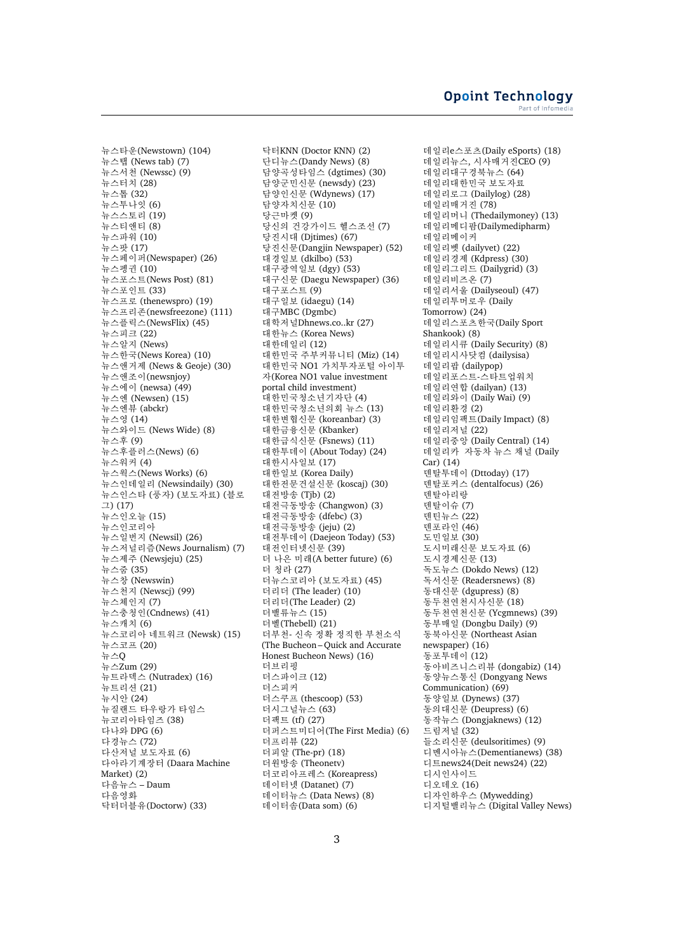뉴스타운(Newstown) (104) 뉴스탭 (News tab) (7) 뉴스서천 (Newssc) (9) 뉴스터치 (28) 뉴스톰 (32) 뉴스투나잇 (6) 뉴스스토리 (19) 뉴스티애티 (8) 뉴스파워 (10) 뉴스팟 (17) 뉴스페이퍼(Newspaper) (26) 뉴스펭귄 (10) 뉴스포스트(News Post) (81) 뉴스포인트 (33) 뉴스프로 (thenewspro) (19) 뉴스프리존(newsfreezone) (111) 뉴스플릭스(NewsFlix) (45) 뉴스피크 (22) 뉴스알지 (News) 뉴스한국(News Korea) (10) ...<br>뉴스앤거제 (News & Geoje) (30) 뉴스앤조이(newsnjoy) 뉴스에이 (newsa) (49) 뉴스엔 (Newsen) (15) 뉴스엔뷰 (abckr) 뉴스영 (14) 뉴스와이드 (News Wide) (8) 뉴스후 (9) 뉴스후플러스(News) (6) 뉴스워커 (4) 뉴스웍스(News Works) (6) 뉴스인데일리 (Newsindaily) (30) 뉴스인스타 (풍자) (보도자료) (블로<br>그) (17) 뉴스인오늘 (15) .<br>뉴스인코리아 ...<br>뉴스일번지 (Newsil) (26) 뉴스저널리즘(News Journalism) (7) 뉴스제주 (Newsjeju) (25) 뉴스줌 (35) 뉴스창 (Newswin) 뉴스천지 (Newscj) (99) 뉴스체인지 (7) 뉴스충청인(Cndnews) (41) 뉴스캐치 (6) 뉴스코리아 네트워크 (Newsk) (15) 뉴스코프 (20) 뉴스Q 뉴스Zum (29) 뉴트라덱스 (Nutradex) (16) 뉴트리션 (21) 뉴시안 (24) 뉴질랜드 타우랑가 타임스 뉴코리아타임즈 (38) 다나와 DPG (6) 다경뉴스 (72) 다산저널 보도자료 (6) 다아라기계장터 (Daara Machine Market) (2) 다음뉴스 – Daum 다음영화 닥터더블유(Doctorw) (33)

닥터KNN (Doctor KNN) (2) 단디뉴스(Dandy News) (8) 담양곡성타임스 (dgtimes) (30) 담양군민신문 (newsdy) (23) 담양인신문 (Wdynews) (17) 담양자치신문 (10) 당근마켓 (9) 당신의 건강가이드 헬스조선 (7) 당진시대 (Djtimes) (67) 당진신문(Dangjin Newspaper) (52) 대경일보 (dkilbo) (53) 대구광역일보 (dgy) (53) 대구신문 (Daegu Newspaper) (36) 대구포스트 (9) 대구일보 (idaegu) (14) 대구MBC (Dgmbc) 대학저널Dhnews.co..kr (27) 대한뉴스 (Korea News) 대하데일리 (12) 대한민국 주부커뮤니티 (Miz) (14) 대한민국 NO1 가치투자포털 아이투 자(Korea NO1 value investment portal child investment) .<br>대한민국청소년기자다 (4) 대한민국청소년의회 뉴스 (13) 대한변협신문 (koreanbar) (3) 대한금융신문 (Kbanker) 대한급식신문 (Fsnews) (11) 대한투데이 (About Today) (24) 대한시사일보 (17) 대한일보 (Korea Daily) 대한전문건설신문 (koscaj) (30) 대전방송 (Tjb) (2) 대전극동방송 (Changwon) (3) 대전극동방송 (dfebc) (3) 대전극동방송 (jeju) (2) 대전투데이 (Daejeon Today) (53) 대전인터넷신문 (39) 더 나은 미래(A better future) (6) 더 청라 (27) 더뉴스코리아 (보도자료) (45) 더리더 (The leader) (10) 더리더(The Leader) (2) 더밸류뉴스 (15) 더벨(Thebell) (21) 더부천- 신속 정확 정직한 부천소식 (The Bucheon – Quick and Accurate Honest Bucheon News) (16) 더브리핑 더스파이크 (12) 더스피커 더스쿠프 (thescoop) (53) 더시그널뉴스 (63) 더팩트 (tf) (27) 더퍼스트미디어(The First Media) (6) 더프리뷰 (22) 더피알 (The-pr) (18) 더원방송 (Theonetv) 더코리아프레스 (Koreapress) 데이터넷 (Datanet) (7) 데이터뉴스 (Data News) (8) 데이터솜(Data som) (6)

데일리e스포츠(Daily eSports) (18) 데일리뉴스, 시사매거진CEO (9) 데일리대구경북뉴스 (64) 데일리대한민국 보도자료 데일리로그 (Dailylog) (28) **데일리매거진** (78) 데일리머니 (Thedailymoney) (13) 데일리메디팜(Dailymedipharm) **데임리메이커** 데일리벳 (dailyvet) (22) 데일리경제 (Kdpress) (30) 데일리그리드 (Dailygrid) (3) 데일리비즈온 (7) 데일리서울 (Dailyseoul) (47) 데일리투머로우 (Daily Tomorrow) (24) 데일리스포츠한국(Daily Sport Shankook) (8) 데일리시큐 (Daily Security) (8) 데일리시사닷컴 (dailysisa) 데일리팝 (dailypop) 데일리포스트-스타트업워치<br>데일리연합 (dailyan) (13) 데일리와이 (Daily Wai) (9) 데일리환경 (2) 데일리임팩트(Daily Impact)  $(8)$ 데일리저널 (22) 데일리중앙 (Daily Central) (14) 데일리카 자동차 뉴스 채널 (Daily Car) (14) **덴탈투데이 (Dttoday) (17)** 덴탈포커스 (dentalfocus) (26) **데탈아리랑** .<br>데탈이슈 (7) 덴틴뉴스 (22) 덴포라인 (46) 도민일보 (30) 도시미래신문 보도자료 (6) 도시경제신문 (13) 독도뉴스 (Dokdo News) (12) 독서신문 (Readersnews) (8) 동대신문 (dgupress) (8) 동두천연천시사신문 (18) 동두천연천신문 (Ycgmnews) (39) 동부매일 (Dongbu Daily) (9) 동북아신문 (Northeast Asian newspaper) (16) 동포투데이 (12) 동아비즈니스리뷰 (dongabiz) (14) 동양뉴스통신 (Dongyang News Communication) (69) 동양일보 (Dynews) (37) 동의대신문 (Deupress) (6) 동작뉴스 (Dongjaknews) (12) 드림저널 (32) 들소리신문 (deulsoritimes) (9) 디멘시아뉴스(Dementianews) (38) 디트news24(Deit news24) (22) 디시인사이드 디오데오 (16) 디자인하우스 (Mywedding) 디지털밸리뉴스 (Digital Valley News)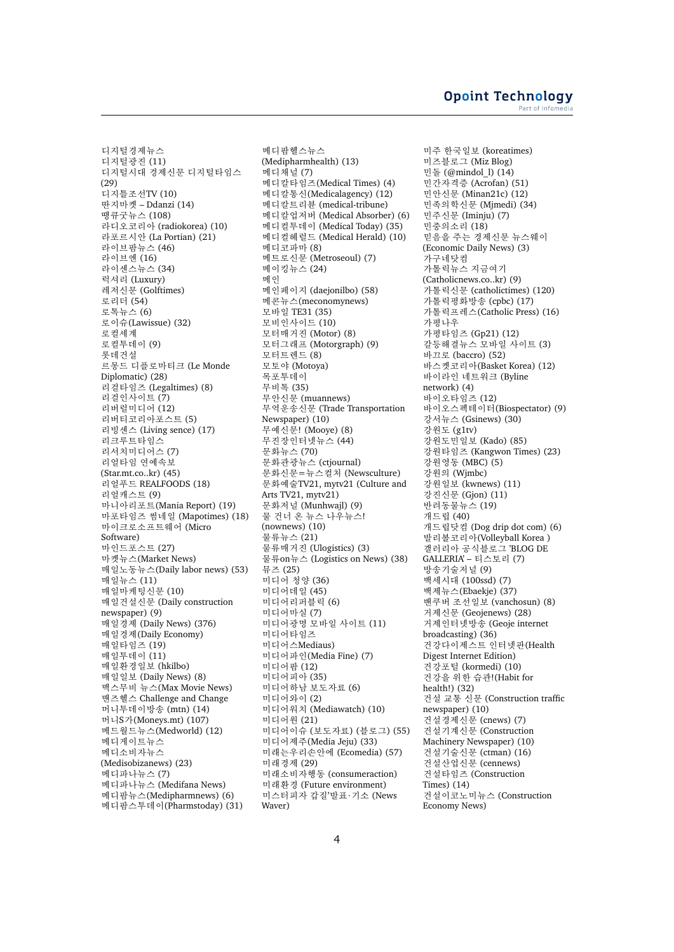디지털경제뉴스 디지털광진 (11) 디지털시대 경제신문 디지털타임스 (29) 디지틀조선TV (10) 따지마켓 – Ddanzi (14) 땡큐굿뉴스 (108) 라디오코리아 (radiokorea) (10) 라포르시안 (La Portian) (21) 라이브팜뉴스 (46) 라이브엔 (16) 라이센스뉴스 (34) 럭셔리 (Luxury) 레저신문 (Golftimes) 로리더 (54) 로톡뉴스 (6) 로이슈(Lawissue) (32) 로컬세계 로컬투데이 (9) 롯데거설 르몽드 디플로마티크 (Le Monde Diplomatic) (28) 리걸타임즈 (Legaltimes) (8) 리걸인사이트 (7) 리버럴미디어 (12) 리버티코리아포스트 (5) 리빙센스 (Living sence) (17) 리크루트타임스 리서치미디어스 (7) 리얼타임 연예속보 (Star.mt.co..kr) (45) 리얼푸드 REALFOODS (18) 리얼캐스트 (9) 마니아리포트(Mania Report) (19) 마포타임즈 썸네일 (Mapotimes) (18) 마이크로소프트웨어 (Micro Software) 마인드포스트 (27) 마켓뉴스(Market News) 매일노동뉴스(Daily labor news) (53) 매일뉴스 (11) 매일마케팅신문 (10) 매일건설신문 (Daily construction newspaper) (9) 매일경제 (Daily News) (376) 매일경제(Daily Economy) 매일타임즈 (19) 매일투데이 (11) 매일환경일보 (hkilbo) 매일일보 (Daily News) (8) 맥스무비 뉴스(Max Movie News) 맨즈헬스 Challenge and Change 머니투데이방송 (mtn) (14) 머니S가(Moneys.mt) (107) 메드월드뉴스(Medworld) (12) 메디게이트뉴스 메디소비자뉴스 (Medisobizanews) (23) 메디파나뉴스 (7) 메디파나뉴스 (Medifana News) 메디팜뉴스(Medipharmnews) (6) 메디팜스투데이(Pharmstoday) (31)

메디팜헬스뉴스 (Medipharmhealth) (13) .<br>메디채널 (7) 메디칼타임즈(Medical Times) (4) 메디칼통신(Medicalagency) (12) 메디칼트리뷰 (medical-tribune) 메디칼업저버 (Medical Absorber) (6) 메디컬투데이 (Medical Today) (35) 메디컬헤럴드 (Medical Herald) (10) 메디코파마 (8) 메트로시문 (Metroseoul) (7) 메이킹뉴스 (24) 메인 메인페이지 (daejonilbo) (58) 메콘뉴스(meconomynews) 모바일 TE31 (35) 모비인사이드 (10) 모터매거진 (Motor) (8) 모터그래프 (Motorgraph) (9) 모터트레드 (8) 모토야 (Motoya) 목포투데이 무비톡 (35) 무아신문 (muannews) 무역운송신문 (Trade Transportation Newspaper) (10) 무예신룬! (Mooye) (8) 무진장인터넷뉴스 (44) 문화뉴스 (70) 문화관광뉴스 (ctjournal) 문화신문=뉴스컬처 (Newsculture) 문화예술TV21, mytv21 (Culture and Arts TV21, mytv21) 문화저널 (Munhwajl) (9) 물 건너 온 뉴스 나우뉴스! (nownews) (10) 물류뉴스 (21) 물류매거진 (Ulogistics) (3) 물류on뉴스 (Logistics on News) (38) 뮤즈 (25) 미디어 청양 (36) 미디어데일 (45) 미디어리퍼블릭 (6) 미디어마실 (7) 미디어광명 모바일 사이트 (11) 미디어타임즈 미디어스Mediaus) 미디어파인(Media Fine) (7) 미디어팜 (12) 미디어피아 (35) 미디어하남 보도자료 (6) 미디어와이 (2) 미디어워치 (Mediawatch) (10) 미디어원 (21) 미디어이슈 (보도자료) (블로그) (55) 미디어제주(Media Jeju) (33) 미래는우리손안에 (Ecomedia) (57) 미래경제 (29) 미래소비자행동 (consumeraction) 미래환경 (Future environment) 미스터피자 갑질'발표·기소 (News Waver)

미주 한국일보 (koreatimes) 미즈블로그 (Miz Blog) 민돌 (@mindol 1) (14) 민간자격증 (Acrofan) (51) 민안신문 (Minan21c) (12) 민족의학신문 (Mjmedi) (34) 민주신문 (Iminju) (7) **민중의소리 (18)** 믿음을 주는 경제신문 뉴스웨이 (Economic Daily News) (3) 가구네다커 가톨릭뉴스 지금여기 (Catholicnews.co..kr) (9) 가톨릭신문 (catholictimes) (120) 가톨릭평화방송 (cpbc) (17) 가톨릭프레스(Catholic Press) (16) 가평나우 가평타임즈 (Gp21) (12) 갈등해결뉴스 모바일 사이트 (3) 바끄로 (baccro) (52) 바스켓코리아(Basket Korea) (12) 바이라인 네트워크 (Byline network) (4) 바이오타임즈 (12) 바이오스펙테이터(Biospectator) (9) 강서뉴스 (Gsinews) (30) 강원도 (g1tv) 강원도민일보 (Kado) (85) 강원타임즈 (Kangwon Times) (23) 강원영동 (MBC) (5) 강원의 (Wimbc) 강원일보 (kwnews) (11) 강진신문 (Gjon) (11) 반려동물뉴스 (19) 개드립 (40) 개드립닷컴 (Dog drip dot com) (6) 발리볼코리아(Volleyball Korea ) 갤러리아 공식블로그 'BLOG DE GALLERIA' – 티스토리 (7) 방송기술저널 (9) 백세시대 (100ssd) (7) 백제뉴스(Ebaekje) (37) 밴쿠버 조선일보 (vanchosun) (8) 거제신문 (Geojenews) (28) 거제인터넷방송 (Geoje internet broadcasting) (36) 건강다이제스트 인터넷판(Health Digest Internet Edition) 건강포털 (kormedi) (10) 건강을 위한 습관! (Habit for health!) (32) 건설 교통 신문 (Construction traffic newspaper) (10) 건설경제신문 (cnews) (7) 건설기계신문 (Construction Machinery Newspaper) (10) 건설기술신문 (ctman) (16) 건설산업신문 (cennews) 건설타임즈 (Construction Times) (14) 건설이코노미뉴스 (Construction Economy News)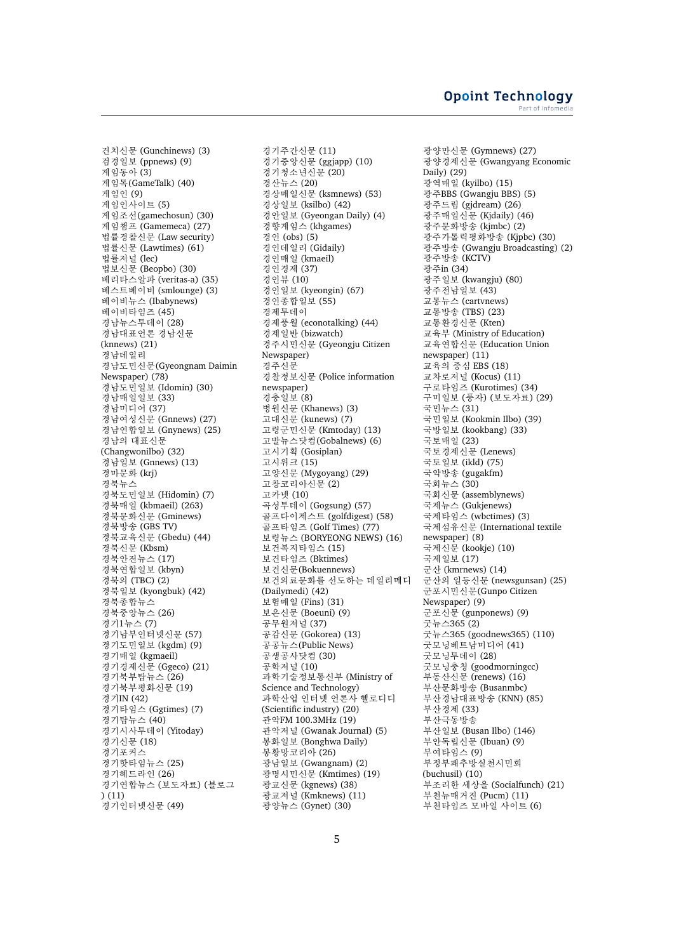건치신문 (Gunchinews) (3) 검경일보 (ppnews) (9) 게임동아 (3) 게임톡(GameTalk) (40) 게임인 (9) 게임인사이트 (5) 게임조선(gamechosun) (30) 게임챔프 (Gamemeca) (27) 법률경찰신문 (Law security) 법률신문 (Lawtimes) (61) ᆸ들 <sub>드</sub>는 (-----<br>법륰저넠 (lec) 법보신문 (Beopbo) (30) 베리타스알파 (veritas-a) (35) 베스트베이비 (smlounge) (3) 베이비뉴스 (Ibabynews) 베이비타임즈  $(45)$ 경남뉴스투데이 (28) 경남대표언론 경남신문 (knnews) (21) 경남데일리 경남도민신문(Gyeongnam Daimin Newspaper) (78) 경남도민일보 (Idomin) (30) 경남매일일보 (33) 경남미디어 (37) 경남여성신문 (Gnnews) (27) 경남연합일보 (Gnynews) (25) 경남의 대표신문 (Changwonilbo) (32) 경남일보 (Gnnews) (13) 경마무화 (krj) 경북뉴스 경북도민일보 (Hidomin) (7) 경북매일 (kbmaeil) (263) 경북문화신문 (Gminews) 경북방송 (GBS TV) 경북교육신문 (Gbedu) (44) 경북신문 (Kbsm) 경북안전뉴스 (17) 경북연합일보 (kbyn) 경북의 (TBC) (2) 경북일보 (kyongbuk) (42) 경북종합뉴스 .<br>경북중앙뉴스 (26) 경기1뉴스 (7) 경기남부인터넷신문 (57) 경기도민일보 (kgdm) (9) 경기매일 (kgmaeil) 경기경제신문 (Ggeco) (21) .<br>경기북부탑뉴스 (26) 경기북부평화신문 (19) 경기IN (42) 경기타임스 (Ggtimes) (7) 경기탑뉴스 (40) 경기시사투데이 (Yitoday) 경기신문 (18) 경기포커스 경기핫타임뉴스 (25) 경기헤드라인 (26) 。<br>경기연합뉴스 (보도자료) (블로그 ) (11) 경기인터넷신문 (49)

경기주간신문 (11) 경기중앙신문 (ggjapp) (10) 경기청소년신문 (20) 경산뉴스 (20) 경상매일신문 (ksmnews) (53) 경상일보 (ksilbo) (42) 경안일보 (Gyeongan Daily) (4) 경향게임스 (khgames) 경인 (obs) (5) 경인데일리 (Gidaily) 경인매일 (kmaeil) 경인경제 (37) 경인뷰 (10) 경인일보 (kyeongin) (67) 경인종합일보 (55) 경제투데이 경제풍월 (econotalking) (44) 경제일반 (bizwatch) 경주시민신문 (Gyeongju Citizen Newspaper) 경주신문 경찰정보신문 (Police information newspaper) 경충일보 $(8)$ 병원신문 (Khanews) (3) 고대신문 (kunews) (7) 고령군민신문 (Kmtoday) (13) 고발뉴스닷컴(Gobalnews) (6) 고시기획 (Gosiplan) 고시위크 (15) 고양신문 (Mygoyang) (29) 고창코리아신문 (2) 고카넷 (10) 곡성투데이 (Gogsung) (57) 골프다이제스트 (golfdigest) (58) 골프타임즈 (Golf Times) (77) 보령뉴스 (BORYEONG NEWS) (16) 보건복지타임스 (15) 보건타임즈 (Bktimes) 보건신문(Bokuennews) 보건의료문화를 선도하는 데일리메디 (Dailymedi) (42) 보헊매일 (Fins) (31) 보은신문 (Boeuni) (9) 공무원저널 (37) 공감신문 (Gokorea) (13) 공공뉴스(Public News) 공생공사닷컴 (30) 공학저널 (10) 과학기술정보통신부 (Ministry of Science and Technology) 과학산업 이터넷 어른사 헬로디디 (Scientific industry) (20) 관악FM 100.3MHz (19) 관악저널 (Gwanak Journal) (5) 봉화일보 (Bonghwa Daily) 봉황망코리아 (26) 광남일보 (Gwangnam) (2) 광명시민신문 (Kmtimes) (19) 광교신문 (kgnews) (38) 광교저널 (Kmknews) (11) 광양뉴스 (Gynet) (30)

광양만신문 (Gymnews) (27) 광양경제신문 (Gwangyang Economic Daily) (29) 광역매일 (kyilbo) (15) <sup>ᄀ</sup>ᅪᆼ주BBS (Gwangju BBS) (5) 광주드림 (gjdream) (26) 광주매일신문 (Kjdaily) (46) 공<br>광주문화방송 (kimbc) (2) 광주가톨릭평화방송 (Kjpbc) (30) 광주방송 (Gwangju Broadcasting) (2) 공<br>공주방송 (KCTV) 광주in (34) 광주일보 (kwangju) (80) <sub>광주전남일보 (43)</sub> 교통뉴스 (cartvnews) 교통방송 (TBS) (23) 교통환경신문 (Kten) 교육부 (Ministry of Education) —<br>교육연합신문 (Education Union newspaper) (11) 교육의 중심 EBS (18) 교차로저널 (Kocus) (11) 구로타임즈 (Kurotimes) (34) 구미일보 (풍자) (보도자료) (29) 국민뉴스 (31) 국민일보 (Kookmin Ilbo) (39) 국방일보 (kookbang) (33) 국토매일 (23) .<br>국토경제신문 (Lenews) 국토일보 (ikld) (75) 국악방송 (gugakfm) 국회뉴스 (30) 국회신문 (assemblynews) 국제뉴스 (Gukjenews) 국제타임스 (wbctimes) (3) 국제섬유신문 (International textile newspaper) (8) 국제신훈 (kookje) (10) 국제일보 (17) 군산 (kmrnews) (14) 군산의 일등신문 (newsgunsan) (25) 군포시민신문(Gunpo Citizen Newspaper) (9) 군포신문 (gunponews) (9) 굿뉴스365 (2) 굿뉴스365 (goodnews365) (110) 굿모닝베트남미디어 (41) 굿모닝투데이 (28) 굿모닝충청 (goodmorningcc) .<br>부동산신문 (renews) (16) 부산문화방송 (Busanmbc) 부산경남대표방송 (KNN) (85) 부산경제 (33) 부산극동방송<br>부산일보 (Busan Ilbo) (146) 부안독립신문 (Ibuan) (9) 부여타임스 (9) 부정부패추방실천시민회 (buchusil) (10) 부조리한 세상을 (Socialfunch) (21) 부천뉴매거진 (Pucm) (11) 부천타임즈 모바일 사이트 (6)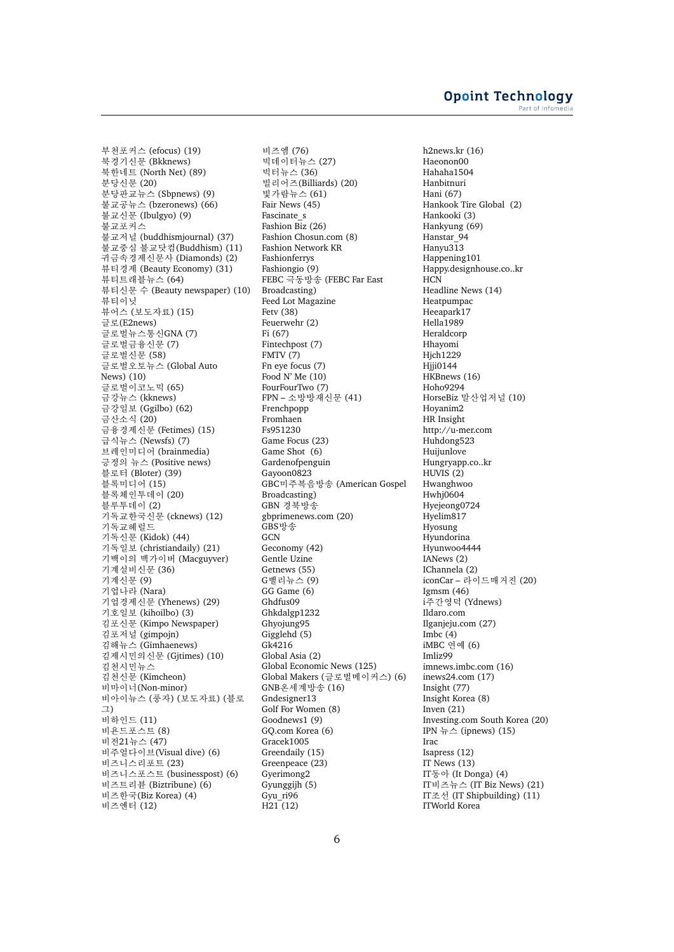부천포커스 (efocus) (19) 북경기신문 (Bkknews) 북한네트 (North Net) (89) 분당신문 (20) 분당판교뉴스 (Sbpnews) (9) 불교공뉴스 (bzeronews) (66) 불교신문 (Ibulgyo) (9) 불교포커스 불교저널 (buddhismjournal) (37) 불교중심 불교닷컴(Buddhism) (11) 귀금속경제신문사 (Diamonds) (2) 뷰티경제 (Beauty Economy) (31) 뷰티트래블뉴스 (64) 뷰티신문 수 (Beauty newspaper) (10) 뷰티이닛 뷰어스 (보도자료) (15) 글로(E2news) 글로벌뉴스통신GNA (7) 글로벌금융신문 (7) 글로벌신문 (58) 글로벌오토뉴스 (Global Auto News) (10) 글로벌이코노믹 (65) 금강뉴스 (kknews) 금강일보 (Ggilbo) (62) 금산소식 (20) 금융경제신문 (Fetimes) (15) 급식뉴스 (Newsfs) (7) 브레인미디어 (brainmedia) 긍정의 뉴스 (Positive news) 블로터 (Bloter) (39) 블록미디어 (15) 블록체인투데이 (20) 블루투데이 (2) 기독교한국신문 (cknews) (12) 기독교헤럴드 기독신문 (Kidok) (44) 기독일보 (christiandaily) (21) 기백이의 맥가이버 (Macguyver) 기계설비신문 (36) 기계신문 (9) 기업나라 (Nara) 기업경제신문 (Yhenews) (29) 기호일보 (kihoilbo) (3) 김포신문 (Kimpo Newspaper) 김포저널 (gimpojn) 김해뉴스 (Gimhaenews) 김제시민의신문 (Gjtimes) (10) 김천시민뉴스 김천신문 (Kimcheon) 비마이너(Non-minor) 비아이뉴스 (풍자) (보도자료) (블로<br>그) 비하인드 (11) 비욘드포스트 (8) 비전21뉴스 (47) 비주얼다이브(Visual dive) (6) 비즈니스리포트 (23) 비즈니스포스트 (businesspost) (6) 비즈트리뷴 (Biztribune) (6) 비즈한국(Biz Korea) (4) 비즈엔터 (12)

비즈엠 (76) 빅데이터뉴스 (27) 빅터뉴스 (36) 빌리어즈(Billiards) (20) 빛가람뉴스 (61) Fair News (45) Fascinate\_s Fashion Biz (26) Fashion Chosun.com (8) Fashion Network KR Fashionferrys Fashiongio (9) FEBC 극동방송 (FEBC Far East Broadcasting) Feed Lot Magazine Fetv (38) Feuerwehr (2) Fi (67) Fintechpost (7) FMTV (7) Fn eye focus (7) Food N' Me (10) FourFourTwo (7) FPN - 소방방재신문 (41) Frenchpopp Fromhaen Fs951230 Game Focus (23) Game Shot (6) Gardenofpenguin Gayoon0823 GBC미주복음방송 (American Gospel Broadcasting) GBN 경북방송 gbprimenews.com (20) GBS방송 **GCN** Geconomy (42) Gentle Uzine Getnews (55) G밸리뉴스 (9) GG Game (6) Ghdfus09 Ghkdalgp1232 Ghyojung95 Gigglehd (5) Gk4216 Global Asia (2) Global Economic News (125) Global Makers (글로벌메이커스) (6) GNB온세계방송 (16) Gndesigner13 Golf For Women (8) Goodnews1 (9) GQ.com Korea (6) Gracek1005 Greendaily (15) Greenpeace (23) Gyerimong2 Gyunggijh (5) Gyu\_ri96 H21 (12)

h2news.kr (16) Haeonon00 Hahaha1504 Hanbitnuri Hani (67) Hankook Tire Global (2) Hankooki (3) Hankyung (69) Hanstar\_94 Hanyu313 Happening101 Happy.designhouse.co..kr **HCN** Headline News (14) Heatpumpac Heeapark17 Hella<sub>1989</sub> Heraldcorp Hhayomi Hich<sub>1229</sub> Hjji0144 HKBnews (16) Hoho9294 HorseBiz 말산업저널 (10) Hoyanim2 HR Insight http://u-mer.com Huhdong523 Huijunlove Hungryapp.co..kr HUVIS (2) Hwanghwoo Hwhj0604 Hyejeong0724 Hyelim817 Hyosung Hyundorina Hyunwoo4444 IANews (2) IChannela (2) iconCar - 라이드매거진 (20) Igmsm (46) i주간영덕 (Ydnews) Ildaro.com Ilganjeju.com (27) Imbc (4) iMBC 연예 (6) Imliz99 imnews.imbc.com (16) inews24.com (17) Insight (77) Insight Korea (8) Inven (21) Investing.com South Korea (20) IPN 뉴스 (ipnews) (15) Irac Isapress (12) IT News (13) IT동아 (It Donga) (4) IT비즈뉴스 (IT Biz News) (21) IT조선 (IT Shipbuilding) (11) ITWorld Korea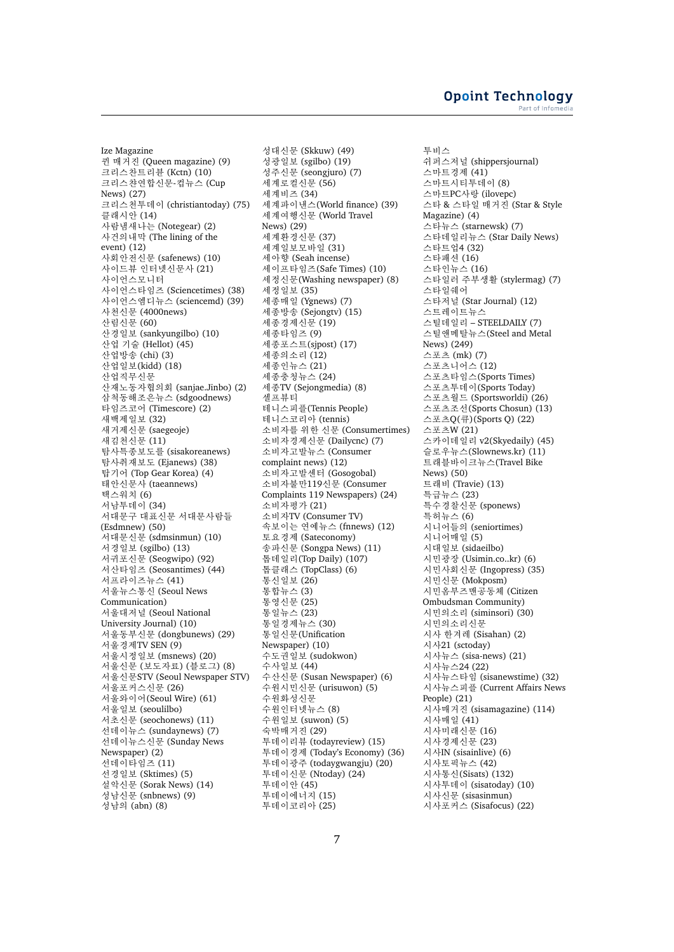Ize Magazine 퀸 매거진 (Queen magazine) (9) 크리스차트리뷰 (Kctn) (10) 크리스챤연합신문-컵뉴스 (Cup News) (27) 크리스천투데이 (christiantoday) (75) 클래시안 (14) 사람냄새나는 (Notegear) (2) 사건의내막 (The lining of the event) (12) 사회안전신문 (safenews) (10) 사이드뷰 이터넷신문사 (21) 사이언스모니터 사이언스타임즈 (Sciencetimes) (38) 사이언스엠디뉴스 (sciencemd) (39) 사천신문 (4000news) 산림신문 (60) 산경일보 (sankyungilbo) (10) 산업 기술 (Hellot) (45) 산업방송 (chi) (3) 산업일보(kidd) (18) 산업직무신문 산재노동자협의회 (sanjae.Jinbo) (2) 삼척동해조은뉴스 (sdgoodnews) 타임즈코어 (Timescore) (2) 새백제일보 (32) 새거제신문 (saegeoje) 새김천신문 (11) 탐사특종보도를 (sisakoreanews) 탐사취재보도 (Ejanews) (38) 탑기어 (Top Gear Korea) (4) 태안신문사 (taeannews) 택스워치 (6) 서남투데이 (34) 서대문구 대표신문 서대문사람들 (Esdmnew) (50) 서대문신문 (sdmsinmun) (10) 서경일보 (sgilbo) (13) 서귀포신문 (Seogwipo) (92) 서산타임즈 (Seosantimes) (44) 서프라이즈뉴스 (41) 서울뉴스통신 (Seoul News Communication) 서울대저널 (Seoul National University Journal) (10) 서울동부신문 (dongbunews) (29) 서울경제TV SEN (9) 서울시정일보 (msnews) (20) 서울신문 (보도자료) (블로그) (8) 서울신문STV (Seoul Newspaper STV) 서울포커스신문 (26) 서울와이어(Seoul Wire) (61) 서울일보 (seoulilbo) 서초신문 (seochonews) (11) 선데이뉴스 (sundaynews) (7) 선데이뉴스신문 (Sunday News Newspaper) (2) 선데이타임즈 (11) 선경일보 (Sktimes) (5) 설악신문 (Sorak News) (14) 성남신문 (snbnews) (9) 성남의 (abn) (8)

성대신문 (Skkuw) (49) 성광일보 (sgilbo) (19) 성주신문 (seongjuro) (7) 세계로컬신문 (56) 세계비즈 (34) 세계파이낸스(World finance) (39) 세계여행신문 (World Travel News) (29) 세계환경신문 (37) 세계일보모바일 (31) 세아향 (Seah incense) 세이프타임즈(Safe Times) (10) 세정신문(Washing newspaper) (8) 세정일보 (35) 세종매일 (Ygnews) (7) 세종방송 (Sejongtv) (15) 세종경제신문 (19) 세종타임즈 (9) 세종포스트(sjpost) (17) 세종의소리 (12) 세종인뉴스 (21) 세종충청뉴스 (24) 세종TV (Sejongmedia) (8) 셀프뷰티 테니스피플(Tennis People) 테니스코리아 (tennis) 소비자를 위한 신문 (Consumertimes) 소비자경제신문 (Dailycnc) (7) 소비자고발뉴스 (Consumer complaint news) (12) 소비자고발센터 (Gosogobal) 소비자불만119신문 (Consumer Complaints 119 Newspapers) (24) 소비자평가 (21) 소비자TV (Consumer TV) 속보이는 연예뉴스 (fnnews) (12) 토요경제 (Sateconomy) 송파신문 (Songpa News) (11) 톱데일리(Top Daily) (107) 톱클래스 (TopClass) (6) 통신일보 (26) 통합뉴스 (3) 통영신문 (25) 통일뉴스 (23) 통일경제뉴스 (30) 통일신문(Unification Newspaper) (10) 수도권일보 (sudokwon) 수사일보 (44) 수산신문 (Susan Newspaper) (6) 수워시민신문 (urisuwon) (5) 수워화성신문 수원인터넷뉴스 (8) 수원일보 (suwon) (5) 숙박매거진 (29) 투데이리뷰 (todayreview) (15) 투데이경제 (Today's Economy) (36) 투데이광주 (todaygwangju) (20) 투데이신문 (Ntoday) (24) 투데이안 (45) 투데이에너지 (15) 투데이코리아 (25)

투비스 쉬퍼스저널 (shippersjournal) 스마트경제 (41) 스마트시티투데이 (8) 스마트PC사랑 (ilovepc) 스타 & 스타일 매거진 (Star & Style Magazine) (4) 스타뉴스 (starnewsk) (7) 스타데일리뉴스 (Star Daily News) 스타트업4 (32) 스타패션 (16) 스타인뉴스 (16) 스타일러 주부생활 (stylermag) (7) 스타일쉐어 스타저널 (Star Journal) (12) 스트레이트뉴스 스틸데일리 – STEELDAILY (7) 스틸애메탈뉴스(Steel and Metal News) (249) 스포츠 (mk) (7) 스포츠니어스 (12) 스포츠타임스(Sports Times) 스포츠투데이(Sports Today) 스포츠월드 (Sportsworldi) (26) 스포츠조선(Sports Chosun) (13) 스포츠Q(큐)(Sports Q) (22) 스포츠W (21) 스카이데일리 v2(Skyedaily) (45) 슬로우뉴스(Slownews.kr) (11) 트래블바이크뉴스(Travel Bike News) (50) 트래비 (Travie) (13) 특급뉴스 (23) 특수경찰신문 (sponews) 특허뉴스 (6) 시니어들의 (seniortimes) 시니어매일 (5) 시대일보 (sidaeilbo) 시민광장 (Usimin.co..kr) (6) 시민사회신문 (Ingopress) (35) 시민신문 (Mokposm) 시민옥부즈맨공동체 (Citizen Ombudsman Community) 시민의소리 (siminsori) (30) 시민의소리신문 시사 한겨레 (Sisahan) (2) 시사21 (sctoday) 시사뉴스 (sisa-news) (21) 시사뉴스24 (22) 시사뉴스타임 (sisanewstime) (32) 시사뉴스피플 (Current Affairs News People) (21) 시사매거진 (sisamagazine) (114) 시사매일 (41) 시사미래신문 (16) 시사경제신문 (23) 시사IN (sisainlive) (6) 시사토픽뉴스 (42) 시사통신(Sisats) (132) 시사투데이 (sisatoday) (10) 시사신문 (sisasinmun) 시사포커스 (Sisafocus) (22)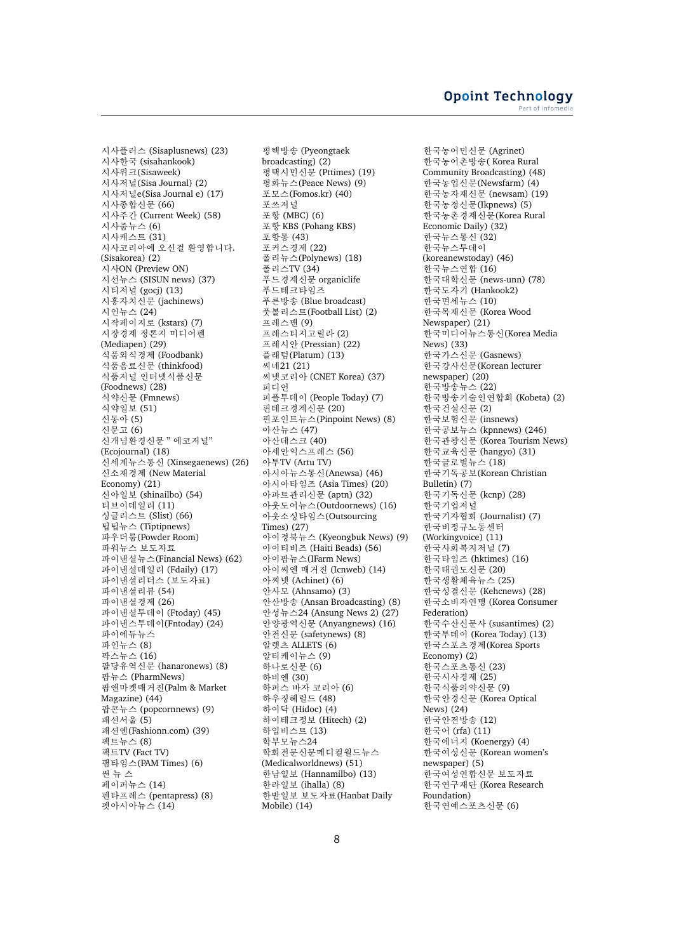시사플러스 (Sisaplusnews) (23) 시사한국 (sisahankook) 시사위크(Sisaweek) 시사저널(Sisa Journal) (2) 시사저널e(Sisa Journal e) (17) 시사종합신문 (66) 시사주간 (Current Week) (58) 시사줌뉴스 (6) 시사캐스트 (31) 시사코리아에 오시걸 환영합니다. (Sisakorea) (2) 시사ON (Preview ON) 시선뉴스 (SISUN news) (37) 시티저널 (gocj) (13) 시흥자치신문 (jachinews) 시인뉴스 (24) 시작페이지로 (kstars) (7) 시장경제 정론지 미디어펚 (Mediapen) (29) 식품외식경제 (Foodbank) 식품음료신문 (thinkfood) 식품저널 인터넷식품신문 (Foodnews) (28) 식약신문 (Fmnews) 식약일보 (51) ...<br>신동아 (5) 시무고 (6) 시개념환경신문 " 에코저널" (Ecojournal) (18) 신세계뉴스통신 (Xinsegaenews) (26) 신소재경제 (New Material Economy) (21) 신아일보 (shinailbo) (54) 티브이데일리 (11) 싱글리스트 (Slist) (66) 팁팁뉴스 (Tiptipnews) 파우더룸(Powder Room) 파워뉴스 보도자료 파이내셜뉴스(Financial News) (62) 파이낸셜데일리 (Fdaily) (17) 파이내셜리더스 (보도자료) 파이낸셜리뷰 (54) 파이내셜경제 (26) 파이낸셜투데이 (Ftoday) (45) 파이낸스투데이(Fntoday) (24) 파이에듀뉴스 파인뉴스 (8) 팍스뉴스 (16) 팔당유역신문 (hanaronews) (8) 팜뉴스 (PharmNews) 팜앤마켓매거진(Palm & Market Magazine) (44) 팝콘뉴스 (popcornnews) (9) 패션서울 (5) 패션엔(Fashionn.com) (39) 팩트뉴스 (8) 팩트TV (Fact TV) 팸타임스(PAM Times) (6) 썬 뉴 스 페이퍼뉴스 (14) 펜타프레스 (pentapress) (8) 펫아시아뉴스 (14)

평택방송 (Pyeongtaek broadcasting) (2) 평택시민신문 (Pttimes) (19) 평화뉴스(Peace News) (9) 포모스(Fomos.kr) (40) 포쓰저널 포항 (MBC) (6) 포항 KBS (Pohang KBS) 포항통 (43) 포커스경제 (22) 폴리뉴스(Polynews) (18) 폴리스TV (34) 푸드경제신문 organiclife 푸드테크타임즈 푸른방송 (Blue broadcast) 풋볼리스트(Football List) (2) 프레스맨 (9) 프레스티지고릴라 (2) 프레시안 (Pressian) (22) 플래텀(Platum) (13) 씨네21 (21) 씨넷코리아 (CNET Korea) (37) 피디언 피플투데이 (People Today) (7) 핀테크경제신문 (20) 핀포인트뉴스(Pinpoint News) (8) 아산뉴스 (47) 아산데스크 (40) 아세안익스프레스 (56) 아투TV (Artu TV) 아시아뉴스통신(Anewsa) (46) 아시아타임즈 (Asia Times) (20) 아파트관리신문 (aptn) (32) 아웃도어뉴스(Outdoornews) (16) 아웃소싱타임스(Outsourcing Times) (27) 아이경북뉴스 (Kyeongbuk News) (9) 아이티비즈 (Haiti Beads) (56) 아이팜뉴스(IFarm News) 아이씨엔 매거진 (Icnweb) (14) 아찌넷 (Achinet) (6) 안사모 (Ahnsamo) (3) 안산방송 (Ansan Broadcasting) (8) 안성뉴스24 (Ansung News 2) (27) 안양광역신문 (Anyangnews) (16) 안전신문 (safetynews) (8) 알렛츠 ALLETS (6) 알티케이뉴스 (9) 하나로신문 (6) 하비엔 (30) 하퍼스 바자 코리아 (6) 하우징헤럴드 (48) 하이닥 (Hidoc) (4) 하이테크정보 (Hitech) (2) 하입비스트 (13) 학부모뉴스24 학회전문신문메디컬월드뉴스 (Medicalworldnews) (51) 한남일보 (Hannamilbo) (13) 한라일보 (ihalla) (8) 한밭일보 보도자료(Hanbat Daily Mobile) (14)

한국농어민신문 (Agrinet) 한국농어촌방송( Korea Rural Community Broadcasting) (48) 한국농업신문(Newsfarm) (4) 한국농자재신문 (newsam) (19) 한국농정신문(Ikpnews) (5) 한국농촌경제신문(Korea Rural Economic Daily) (32) 한국뉴스통신 (32) 한국뉴스투데이 (koreanewstoday) (46) 하국뉴스연합 (16) 한국대학신문 (news-unn) (78) 한국도자기 (Hankook2) 한국면세뉴스 (10) 한국목재신문 (Korea Wood Newspaper) (21) 한국미디어뉴스통신(Korea Media News) (33) 한국가스신문 (Gasnews) 한국강사신문(Korean lecturer newspaper) (20) 한국방송뉴스 (22) 한국방송기술인연합회 (Kobeta) (2) 한국건설신문 (2) 한국보험시문 (insnews) 한국공보뉴스 (kpnnews) (246) 하국관광신문 (Korea Tourism News) —<br>한국교육신문 (hangyo) (31) 한국글로벌뉴스 (18) 한국기독공보(Korean Christian Bulletin) (7) 한국기독신문 (kcnp) (28) 한국기업저널 한국기자협회 (Journalist) (7) 한국비정규노동센터 (Workingvoice) (11) 한국사회복지저널 (7) 한국타임즈 (hktimes) (16) 한국태권도신문 (20) 한국생활체육뉴스 (25) 한국성결신문 (Kehcnews) (28) 한국소비자연맹 (Korea Consumer Federation) 한국수산신문사 (susantimes) (2) 한국투데이 (Korea Today) (13) 한국스포츠경제(Korea Sports Economy) (2) 한국스포츠통신 (23) .<br>한국시사경제 (25) 한국식품의약신문 (9) 한국안경신문 (Korea Optical News) (24) 한국안전방송 (12) 한국어 (rfa) (11) 한국에너지 (Koenergy) (4) 하국여성신문 (Korean women's newspaper) (5) 한국여성연합신문 보도자료 ㅎ<br>한국연구재단 (Korea Research Foundation) 한국연예스포츠신문 (6)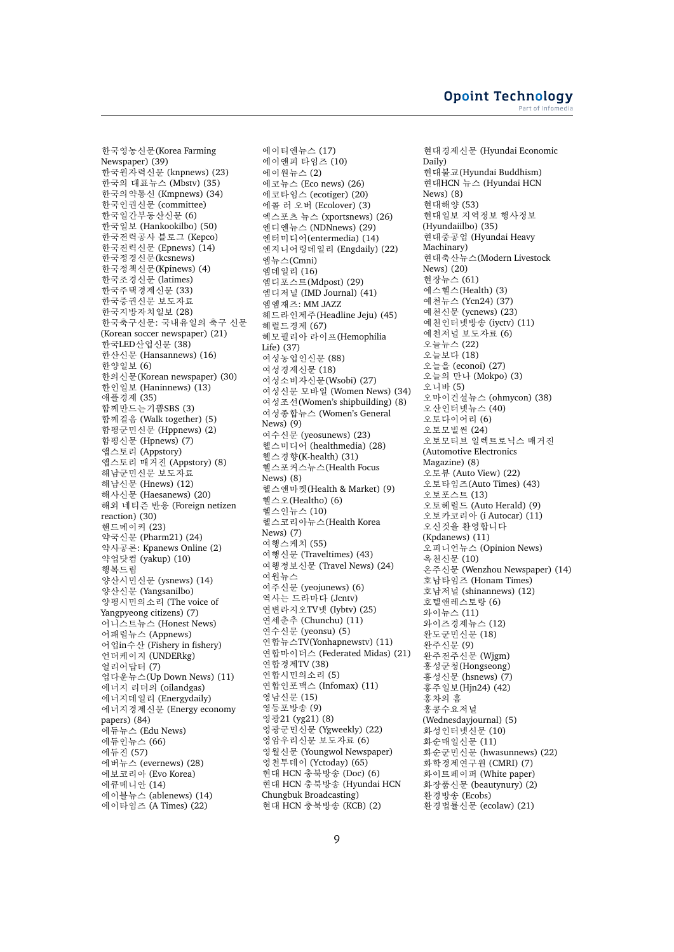한국영농신문(Korea Farming Newspaper) (39) 한국원자력신문 (knpnews) (23) 한국의 대표뉴스 (Mbstv) (35) 한국의약통신 (Kmpnews) (34) 한국인권신문 (committee) 한국일간부동산신문 (6) 한국일보 (Hankookilbo) (50) 한국전력공사 블로그 (Kepco) 한국전력신문 (Epnews) (14) 한국정경신문(kcsnews) 한국정책신문(Kpinews) (4) 한국조경신문 (latimes) 한국주택경제신문 (33) 한국증권신문 보도자료 한국지방자치일보 (28) 한국축구신문: 국내유일의 축구 신무 (Korean soccer newspaper) (21) 한국LED산업신문 (38) 한산신문 (Hansannews) (16) 하양일보 (6) 한의신문(Korean newspaper) (30) 한인일보 (Haninnews) (13) **애플경제 (35)** 함께만드는기쁨SBS (3) 함께걸음 (Walk together) (5) 함평군민신문 (Hppnews) (2) 함평신문 (Hpnews) (7) 앱스토리 (Appstory) 앱스토리 매거진 (Appstory) (8) 해남군민신문 보도자료 해남신문 (Hnews) (12) 해사신문 (Haesanews) (20) 해외 네티즌 반응 (Foreign netizen reaction) (30) .<br>핸드메이커 (23) 약국신문 (Pharm21) (24) 약사공론: Kpanews Online (2) 약업닷컴 (yakup) (10) 해복드림 양산시민신문 (ysnews) (14) 양산신문 (Yangsanilbo) 양평시민의소리 (The voice of Yangpyeong citizens) (7) 어니스트뉴스 (Honest News) 어패럴뉴스 (Appnews) 어업in수산 (Fishery in fishery) 언더케이지 (UNDERkg) 얼리어답터 (7) 업다운뉴스(Up Down News) (11) 에너지 리더의 (oilandgas) 에너지데일리 (Energydaily) 에너지경제신문 (Energy economy papers) (84) 에듀뉴스 (Edu News) 에듀인뉴스 (66) 에듀진 (57) 에버뉴스 (evernews) (28) 에보코리아 (Evo Korea) 에큐메니안 (14) 에이블뉴스 (ablenews) (14) 에이타임즈 (A Times) (22)

에이티엔뉴스 (17) 에이앤피 타임즈 (10) 에이원뉴스 (2) 에코뉴스 (Eco news) (26) 에코타임스 (ecotiger) (20) 에콜 러 오버 (Ecolover) (3) 엑스포츠 뉴스 (xportsnews) (26) 엔디엔뉴스 (NDNnews) (29) 엔터미디어(entermedia) (14) 엔지니어링데일리 (Engdaily) (22) 엠뉴스(Cmni) 엠데일리 (16) 엠디포스트(Mdpost) (29) 엠디저널 (IMD Journal) (41) 엠엠재즈: MM JAZZ 헤드라인제주(Headline Jeju) (45) 헤럴드경제 (67) 헤모필리아 라이프(Hemophilia Life) (37) 여성농업인신문 (88) 여성경제신문 (18) 여성소비자신문(Wsobi) (27) 여성신문 모바일 (Women News) (34) 여성조선(Women's shipbuilding) (8) 여성종합뉴스 (Women's General News) (9) 여수신문 (yeosunews) (23) 헬스미디어 (healthmedia) (28) 헬스경향(K-health) (31) 헬스포커스뉴스(Health Focus News) (8) 헬스애마켓(Health & Market) (9) 헬스오(Healtho) (6) 헬스인뉴스 (10) 헬스코리아뉴스(Health Korea News) (7) 여행스케치 (55) 여행신문 (Traveltimes) (43) 여행정보신문 (Travel News) (24) 여워뉴스 여주신문 (yeojunews) (6) 역사는 드라마다 (Jcntv) 연변라지오TV넷 (Iybtv) (25) 연세춘추 (Chunchu) (11) 연수신문 (yeonsu) (5) 연합뉴스TV(Yonhapnewstv) (11) 연합마이더스 (Federated Midas) (21) 여 한 경 제TV (38) 연합시민의소리 (5) 연합인포맥스 (Infomax) (11) 영남신문 (15) 영등포방송 (9) 영광21 (yg21) (8) 영광군민신문 (Ygweekly) (22) 영암우리신문 보도자료 (6) 영월신문 (Youngwol Newspaper) 영천투데이 (Yctoday) (65) 현대 HCN 충북방송 (Doc) (6) 현대 HCN 충북방송 (Hyundai HCN Chungbuk Broadcasting) 현대 HCN 충북방송 (KCB) (2)

현대경제신문 (Hyundai Economic Daily) 현대불교(Hyundai Buddhism) 현대HCN 뉴스 (Hyundai HCN News) (8) 현대해양 (53) 현대일보 지역정보 행사정보 (Hyundaiilbo) (35) 현대중공업 (Hyundai Heavy Machinary) 현대축산뉴스(Modern Livestock News) (20) 현장뉴스 (61) 예스헬스(Health) (3) 예천뉴스 (Ycn24) (37) 예천신문 (ycnews) (23) 예천인터넷방송 (iyctv) (11) 예천저널 보도자료 (6) 오늘뉴스 (22) 오늘보다 (18) 오늘을 (econoi) (27) 오늘의 만나 (Mokpo) (3) 오니바 (5) 오마이건설뉴스 (ohmycon) (38) 오산인터넷뉴스 (40) 오토다이어리 (6) 오토모빌썬 (24) 오토모티브 일렉트로닉스 매거진 (Automotive Electronics Magazine) (8) 오토뷰 (Auto View) (22) 오토타임즈(Auto Times) (43) 오토포스트 (13) 오토헤럴드 (Auto Herald) (9) 오토카코리아 (i Autocar) (11) 오신것을 환영합니다 (Kpdanews) (11) 오피니언뉴스 (Opinion News) 옥 천 신 문 (10) 온주신문 (Wenzhou Newspaper) (14) 호남타임즈 (Honam Times) 호남저널 (shinannews) (12) 호텔앤레스토랑 (6) 와이뉴스 (11) 와이즈경제뉴스 (12) 완도군민신문 (18) **완주시**문 (9) 완주전주신문 (Wjgm) 홍성군청(Hongseong) ㅎㅎㅎㅎㅎ<del>.</del><br>홍성시문 (hsnews) (7) 홍주일보(Hjn24) (42) 홍차의 홈 홍콩수요저널 (Wednesdayjournal) (5) .<br>화성인터넷신문 (10) 화순매일신문 (11) 화순군민신문 (hwasunnews) (22) 화학경제연구원 (CMRI) (7) 화이트페이퍼 (White paper) 화장품신문 (beautynury) (2) 환경방송 (Ecobs) 환경법률신문 (ecolaw) (21)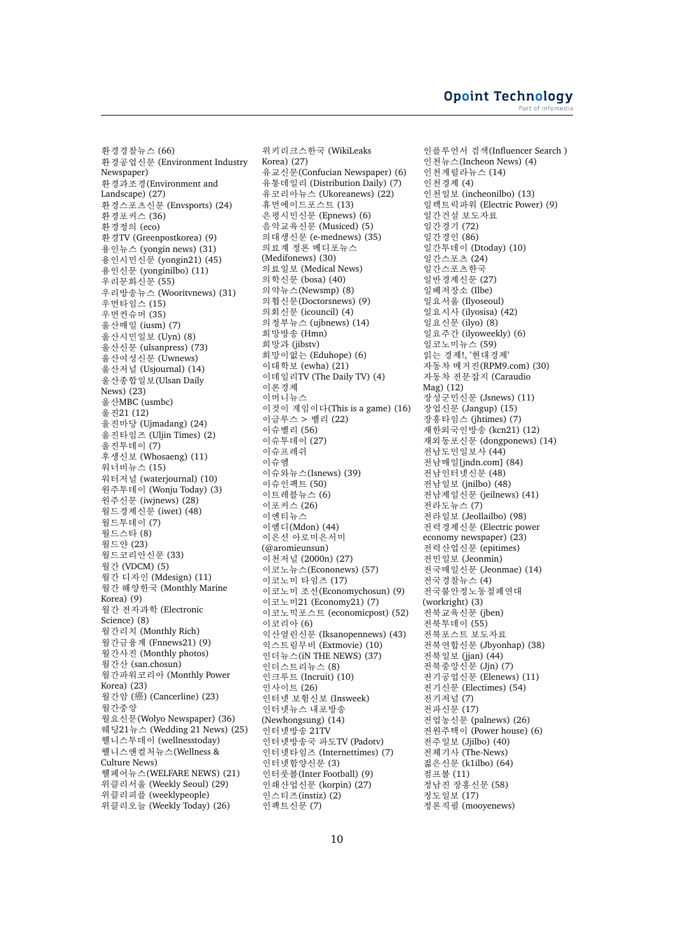환경경찰뉴스 (66) 환경공업신문 (Environment Industry Newspaper) 환경과조경(Environment and Landscape) (27) 환경스포츠신문 (Envsports) (24) 환경포커스 (36) 환경정의 (eco) 환경TV (Greenpostkorea) (9) 용인뉴스 (yongin news) (31) 용인시민신문 (yongin21) (45) 용인신문 (yonginilbo) (11) 우리문화신문 (55) 우리방송뉴스 (Wooritvnews) (31) 우먼타임스 (15) 우먼커슈머 (35) 울산매일 (iusm) (7) 울산시민일보 (Uyn) (8) 울산신문 (ulsanpress) (73) 울산여성신문 (Uwnews) 울산저널 (Usjournal) (14) 울산종합일보(Ulsan Daily News) (23) 울산MBC (usmbc) 울진21 (12) 울진마당 (Ujmadang) (24) 울진타임즈 (Uljin Times) (2) 울진투데이 (7) 후생신보 (Whosaeng) (11) 워너비뉴스 (15) 워터저널 (waterjournal) (10) 원주투데이 (Wonju Today) (3) 원주신문 (iwjnews) (28) 월드경제신문 (iwet) (48) 월드투데이 (7) 월드스타 (8) 월드얀 (23) 월드코리안신문 (33) 월가 (VDCM) (5) 월간 디자인 (Mdesign) (11) 월간 해양한국 (Monthly Marine Korea) (9) 월간 전자과학 (Electronic Science) (8) 월간리치 (Monthly Rich) 월간금융계 (Fnnews21) (9) 월간사진 (Monthly photos) 월간산 (san.chosun) 월간파워코리아 (Monthly Power Korea) (23) 월간암 (癌) (Cancerline) (23) 월간중앙 월요신문(Wolyo Newspaper) (36) 웨딩21뉴스 (Wedding 21 News) (25) 웰니스투데이 (wellnesstoday) 웰니스앤컬처뉴스(Wellness & Culture News) 웰페어뉴스(WELFARE NEWS) (21) 위클리서울 (Weekly Seoul) (29) 위클리피플 (weeklypeople) 위클리오늘 (Weekly Today) (26)

위키리크스한국 (WikiLeaks Korea) (27) 유교신문(Confucian Newspaper) (6) 유통데일리 (Distribution Daily) (7) 유코리아뉴스 (Ukoreanews) (22) 휴먼에이드포스트 (13) 은평시민신문 (Epnews) (6) 음악교육신문 (Musiced) (5) 의대생신문 (e-mednews) (35) 의료계 정론 메디포뉴스 (Medifonews) (30) 의료일보 (Medical News) 의학신문 (bosa) (40) 의약뉴스(Newsmp) (8) 의협신문(Doctorsnews) (9) 의회신문 (icouncil) (4) 의정부뉴스 (ujbnews) (14) 희망방송 (Hmn) 희망과 (jibstv) 희망이없는 (Eduhope) (6) 이대학보 (ewha) (21) 이데일리TV (The Daily TV) (4) 이론경제 이머니뉴스 이것이 게임이다(This is a game) (16) 이글루스 > 밸리 (22) 이슈밸리 (56) 이슈투데이 (27) 이슈프레쉬 이슈엠 이슈와뉴스(Isnews) (39) 이슈인팩트 (50) 이트레블뉴스 (6) 이포커스 (26) 이에티뉴스 이엠디(Mdon) (44) 이은선 아로미은서미 (@aromieunsun) 이천저널 (2000n) (27) 이코노뉴스(Econonews) (57) 이코노미 타임즈 (17) 이코노미 조선(Economychosun) (9) 이코노미21 (Economy21) (7) 이코노믹포스트 (economicpost) (52) 이코리아 (6) 익산열린신문 (Iksanopennews) (43) 익스트림무비 (Extmovie) (10) 인더뉴스(iN THE NEWS) (37) 인더스트리뉴스 (8) 인크루트 (Incruit) (10) 인사이트 (26) 인터넷 보험신보 (Insweek) 인터넷뉴스 내포방송 (Newhongsung) (14) .<br>이터넷방송 21TV 인터넷방송국 파도TV (Padotv) 인터넷타임즈 (Internettimes) (7) 인터넷함양신문 (3) 인터풋볼(Inter Football) (9) 인쇄산업신문 (korpin) (27) 인스티즈(instiz) (2) 인팩트신문 (7)

인플루언서 검색(Influencer Search) 인천뉴스(Incheon News) (4) 이처게릴라뉴스 (14) 인천경제 (4) 인천일보 (incheonilbo) (13) 일렉트릭파워 (Electric Power) (9) 일간건설 보도자료 일 가 경 기 (72) 일간경인 (86) 일간투데이 (Dtoday) (10) -<br>익가스포츠 (24) 일가스포츠한국 일반경제신문 (27) <u>일</u>베저장소 (Ilbe) 일요서울 (Ilyoseoul) 일요시사 (ilyosisa) (42) 일요신문 (ilyo) (8) 일요주간 (ilyoweekly) (6) 일코노미뉴스 (59) 읽는 경제!, '현대경제' 자동차 매거진(RPM9.com) (30) 자동차 전문잡지 (Caraudio Mag) (12) 장성군민신문 (Jsnews) (11) 장업신문 (Jangup) (15)  $\overline{3}$ 흥타임스 (ihtimes) (7) 재한외국인방송 (kcn21) (12) 재외동포신문 (dongponews) (14) 저남도민일보사 (44) 전남매일[jndn.com] (84) 저남인터넷신문 (48) 전남일보 (jnilbo) (48) 전남제일신문 (jeilnews) (41) 전라도뉴스 (7) 전라일보 (Jeollailbo) (98) 전력경제신문 (Electric power economy newspaper) (23) 전력산업신문 (epitimes) 전민일보 (Jeonmin) 전국매일신문 (Jeonmae) (14) 전국경찰뉴스 (4) 전국불안정노동철폐연대 (workright) (3) 전북교휵신문 (jben) 전북투데이 (55) 전북포스트 보도자료 고<br>전북연합신문 (Jbyonhap) (38) 전북일보 (jjan) (44) .<br>전북중앙신문 (Jin) (7) 는 7.5 s 등 는 (J,L) (),<br>전기공업신문 (Elenews) (11) 전기신문 (Electimes) (54) 전기저널 (7) 전파신문 (17) 전업농신문 (palnews) (26) 전원주택이 (Power house) (6) 전주일보 (Jjilbo) (40) 전체기사 (The-News) 젊은신문 (k1ilbo) (64) 점프볼 (11) ,<br>정남진 장흥신문 (58) 정도일보 (17) 정론직필 (mooyenews)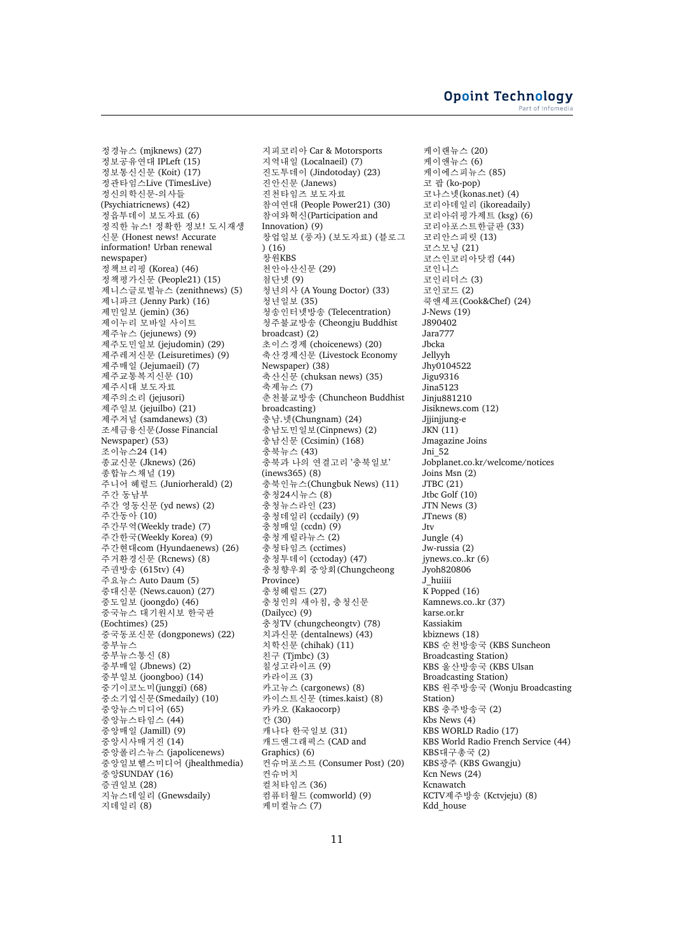정경뉴스 (mjknews) (27) 정보공유연대 IPLeft (15) 정보통신신문 (Koit) (17) <sup>ᄌ</sup>ᅥᆼ관타임스Live (TimesLive) 정신의학신문-의사들 (Psychiatricnews) (42) 정읍투데이 보도자료 (6) 정직한 뉴스! 정확한 정보! 도시재생 신문 (Honest news! Accurate information! Urban renewal newspaper) 정책브리핑 (Korea) (46) 정책평가신문 (People21) (15) 제니스글로벌뉴스 (zenithnews) (5) 제니파크 (Jenny Park) (16) 제민일보 (jemin) (36) 제이누리 모바일 사이트 제주뉴스 (jejunews) (9) 제주도민일보 (jejudomin) (29) 제주레저시문 (Leisuretimes) (9) 제주매일 (Jejumaeil) (7) 제주교통복지신문 (10) 제주시대 보도자료 제주의소리 (jejusori) 제주일보 (jejuilbo) (21) 제주저널 (samdanews) (3) 조세금융신문(Josse Financial Newspaper) (53) 조이뉴스24 (14) 종교신문 (Jknews) (26) 종합뉴스채널 (19) 주니어 헤럴드 (Juniorherald) (2) 주간 동남부 주간 영동신문 (yd news) (2) 주간동아 (10) 주간무역(Weekly trade) (7) 주간한국(Weekly Korea) (9) 주간현대com (Hyundaenews) (26) 주거환경신문 (Rcnews) (8) 주권방송 (615tv) (4) 주요뉴스 Auto Daum (5) 중대신문 (News.cauon) (27) 중도일보 (joongdo) (46) 충국뉴스 대기원시보 한국판 (Eochtimes) (25) 중국동포신문 (dongponews) (22) 중부뉴스 중부뉴스통신 (8) 중부매일 (Jbnews) (2) 중부일보 (joongboo) (14) 중기이코노미(junggi) (68) 중소기업신문(Smedaily) (10) 중앙뉴스미디어 (65) 중앙뉴스타임스 (44) 중앙매일 (Jamill) (9) 중앙시사매거진 (14) 중앙폴리스뉴스 (japolicenews) 중앙일보헬스미디어 (jhealthmedia) 중앙SUNDAY (16) 증권일보 (28) 지뉴스데일리 (Gnewsdaily) 지데일리 (8)

지피코리아 Car & Motorsports 지역내일 (Localnaeil) (7) 진도투데이 (Jindotoday) (23) 진안신문 (Janews) 지처타임즈 보도자료 참여연대 (People Power21) (30) 참여와혁신(Participation and Innovation) (9) 창업일보 (풍자) (보도자료) (블로그 ) (16) 창원KBS 천안아산신문 (29) 첨단넷 (9) 청년의사 (A Young Doctor) (33) 청년일보 (35) 。<br>청송인터넷방송 (Telecentration) 청주불교방송 (Cheongju Buddhist broadcast) (2) 초이스경제 (choicenews) (20) 축산경제신문 (Livestock Economy Newspaper) (38) 축산신문 (chuksan news) (35) 축제뉴스 (7) 춘천불교방송 (Chuncheon Buddhist broadcasting) 충남.넷(Chungnam) (24) 충남도민일보(Cinpnews) (2) 충남신문 (Ccsimin) (168) 。<br>충북뉴스 (43) 충북과 나의 연결고리 '충북일보' (inews365) (8) 충북인뉴스(Chungbuk News) (11) 충청24시뉴스 (8) **충청뉴스라**인 (23) 충청데일리 (ccdaily) (9) 충청매일 (ccdn) (9) 충청게릴라뉴스 (2) 충청타임즈 (cctimes) 충청투데이 (cctoday) (47) 충청향우회 중앙회(Chungcheong Province) 충청헤럴드 (27) 충청인의 새아침, 충청신문 (Dailycc) (9) 충청TV (chungcheongtv) (78) 치과신문 (dentalnews) (43) 치학신문 (chihak)  $(11)$ 친구 (Tjmbc) (3) 칠성고라이프 (9) 카라이프 (3) 카고뉴스 (cargonews) (8) 카이스트신문 (times.kaist) (8) 카카오 (Kakaocorp) 칸 (30) .<br>캐나다 한국일보 (31) 캐드앤그래픽스 (CAD and Graphics) (6) 컨슈머포스트 (Consumer Post) (20) 컨슈머치 컬처타임즈 (36) 컴퓨터월드 (comworld) (9) 케미컬뉴스 (7)

케이랜뉴스 (20) 케이앤뉴스 (6) 케이에스피뉴스 (85) 코 팝 (ko-pop) 코나스넷(konas.net) (4) 코리아데일리 (ikoreadaily) 코리아쉬핑가제트 (ksg) (6) 코리아포스트한글판 (33) 코리안스피릿 (13) 코스모닝 (21) 코스인코리아닷컴 (44) 코인니스 코인리더스 (3) 코인코드 (2) 쿡앤셰프(Cook&Chef) (24) J-News (19) J890402 Jara777 Jbcka Jellyyh Jhy0104522 Jigu9316 Jina5123 Jinju881210 Jisiknews.com (12) Jjjinjjung-e JKN (11) Jmagazine Joins Jni\_52 Jobplanet.co.kr/welcome/notices Joins Msn (2) JTBC (21) Jtbc Golf (10) JTN News (3) JTnews (8) Jtv Jungle (4) Jw-russia (2) jynews.co..kr (6) Jyoh820806 J\_huiiii  $K$  Popped (16) Kamnews.co..kr (37) karse.or.kr Kassiakim kbiznews (18) KBS 순천방송국 (KBS Suncheon Broadcasting Station) KBS 울산방송국 (KBS Ulsan Broadcasting Station) KBS 워주방송국 (Wonju Broadcasting Station) KBS 충주방송국 (2) Kbs News (4) KBS WORLD Radio (17) KBS World Radio French Service (44) KBS대구총국 (2) KBS광주 (KBS Gwangju) Kcn News (24) Kcnawatch KCTV제주방송 (Kctvjeju) (8) Kdd house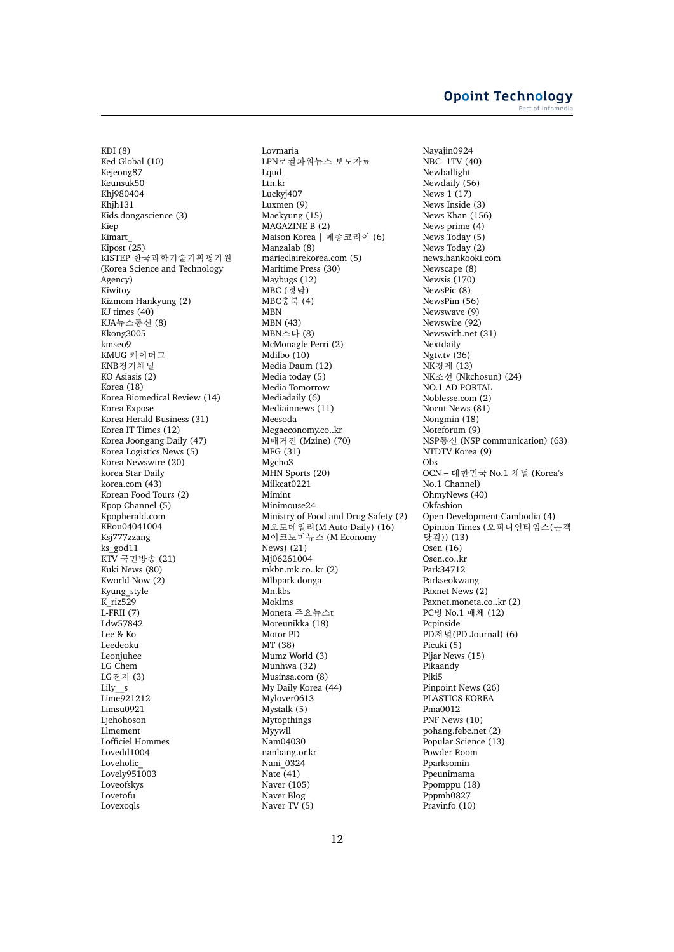KDI (8) Ked Global (10) Kejeong87 Keunsuk50 Khj980404 Khjh131 Kids.dongascience (3) Kiep Kimart\_ Kipost  $(25)$ ---<br>KISTEP 하국과한기숙기획평가워 (Korea Science and Technology Agency) Kiwitoy Kizmom Hankyung (2) KJ times (40) KJA뉴스통신 (8) Kkong3005 kmseo9 KMUG 케이머그 KNB경기채널 KO Asiasis (2) Korea (18) Korea Biomedical Review (14) Korea Expose Korea Herald Business (31) Korea IT Times (12) Korea Joongang Daily (47) Korea Logistics News (5) Korea Newswire (20) korea Star Daily korea.com (43) Korean Food Tours (2) Kpop Channel (5) Kpopherald.com KRou04041004 Ksj777zzang ks\_god11  $KTV$  국민방송 (21) Kuki News (80) Kworld Now (2) Kyung\_style K\_riz529 L-FRII (7) Ldw57842 Lee & Ko Leedeoku Leonjuhee LG Chem LG 전자 (3) Lily\_\_s  $Lime921212$ Limsu0921 Ljehohoson Llmement Lofficiel Hommes Lovedd1004 Loveholic\_ Lovely951003 Loveofskys Lovetofu Lovexoqls

Lovmaria LPN로컬파워뉴스 보도자료 Lqud Ltn.kr Luckyj407 Luxmen (9) Maekyung (15) MAGAZINE B (2) Maison Korea | 메종코리아 (6) Manzalab (8) marieclairekorea.com (5) Maritime Press (30) Maybugs (12)  $MBC$  (경남) MBC충북 (4) MBN MBN (43) MBN스타 (8) McMonagle Perri (2) Mdilbo  $(10)$ Media Daum (12) Media today (5) Media Tomorrow Mediadaily (6) Mediainnews (11) Meesoda Megaeconomy.co..kr M매거진 (Mzine) (70) MFG (31) Mgcho3 MHN Sports (20) Milkcat0221 Mimint Minimouse24 Ministry of Food and Drug Safety (2) M오토데일리(M Auto Daily) (16) M이코노미뉴스 (M Economy News) (21) Mj06261004 mkbn.mk.co..kr (2) Mlbpark donga Mn.kbs Moklms Moneta 주요뉴스t Moreunikka (18) Motor PD MT (38) Mumz World (3) Munhwa (32) Musinsa.com (8) My Daily Korea (44) Mylover0613 Mystalk (5) Mytopthings Myywll Nam04030 nanbang.or.kr Nani 0324 Nate  $(41)$ Naver (105) Naver Blog Naver TV (5)

Nayajin0924 NBC- 1TV (40) Newballight Newdaily (56) News 1 (17) News Inside (3) News Khan (156) News prime (4) News Today (5) News Today (2) news.hankooki.com Newscape (8) Newsis (170) NewsPic (8) NewsPim (56) Newswave (9) Newswire (92) Newswith.net (31) Nextdaily Ngtv.tv (36) NK경제 (13) NK조선 (Nkchosun) (24) NO.1 AD PORTAL Noblesse.com (2) Nocut News (81) Nongmin (18) Noteforum (9) NSP통신 (NSP communication) (63) NTDTV Korea (9) Obs OCN - 대한민국 No.1 채널 (Korea's No.1 Channel) OhmyNews (40) Okfashion Open Development Cambodia (4) Opinion Times (오피니언타임스(논객 닷컴)) (13) Osen (16) Osen.co..kr Park34712 Parkseokwang Paxnet News (2) Paxnet.moneta.co..kr (2) PC방 No.1 매체 (12) Pcpinside PD저널(PD Journal) (6) Picuki (5) Pijar News (15) Pikaandy Piki5 Pinpoint News (26) PLASTICS KOREA Pma0012 PNF News (10) pohang.febc.net (2) Popular Science (13) Powder Room Pparksomin Ppeunimama Ppomppu (18) Pppmh0827 Pravinfo (10)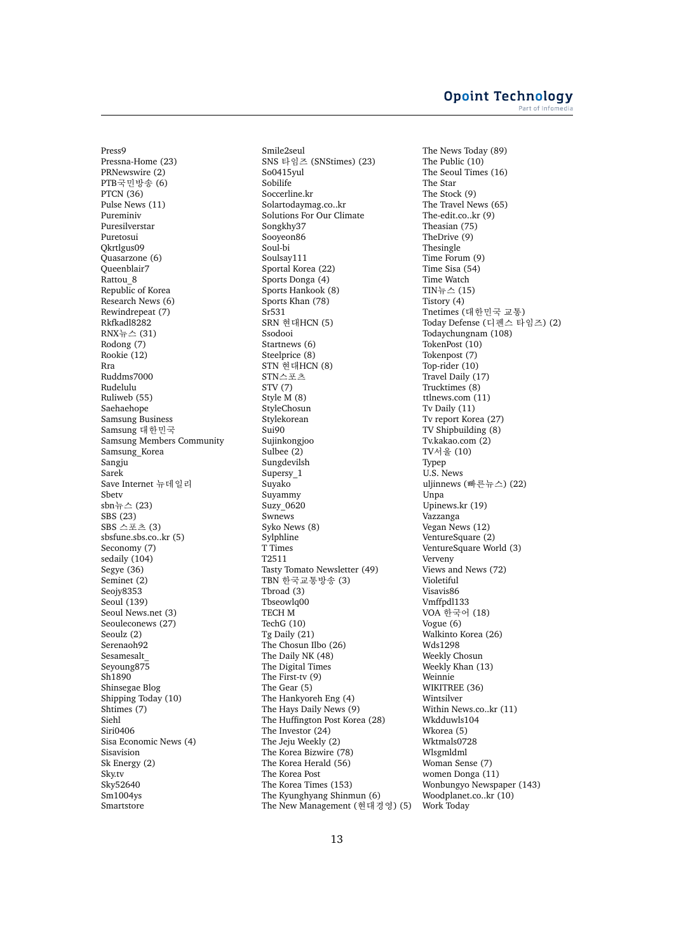Press9 Pressna-Home (23) PRNewswire (2) PTB국민방송 (6) PTCN (36) Pulse News (11) Pureminiv Puresilverstar Puretosui Qkrtlgus09 Quasarzone (6) Queenblair7 Rattou 8 Republic of Korea Research News (6) Rewindrepeat (7) Rkfkadl8282 RNX뉴스 (31) Rodong (7) Rookie (12) Rra Ruddms7000 Rudelulu Ruliweb (55) Saehaehope Samsung Business Samsung 대한민국 Samsung Members Community Samsung\_Korea Sangju Sarek Save Internet 뉴데일리 Sbetv sbn뉴스 (23) SBS (23) SBS 스포츠 (3) sbsfune.sbs.co..kr (5) Seconomy (7) sedaily (104) Segye (36) Seminet (2) Seojy8353 Seoul (139) Seoul News.net (3) Seouleconews (27) Seoulz (2) Serenaoh92 Sesamesalt\_ Seyoung875 Sh1890 Shinsegae Blog Shipping Today (10) Shtimes (7) Siehl Siri0406 Sisa Economic News (4) Sisavision Sk Energy (2) Sky.tv Sky52640 Sm1004ys Smartstore

Smile2seul SNS 타임즈 (SNStimes) (23) So0415yul Sobilife Soccerline.kr Solartodaymag.co..kr Solutions For Our Climate Songkhy37 Sooyeon86 Soul-bi Soulsay111 Sportal Korea (22) Sports Donga (4) Sports Hankook (8) Sports Khan (78) Sr531 SRN 현대HCN (5) Ssodooi Startnews (6) Steelprice (8) STN 현대HCN (8) STN스포츠 STV (7) Style M (8) StyleChosun Stylekorean  $S<sub>11</sub>$ i90 Sujinkongjoo Sulbee (2) Sungdevilsh Supersy\_1 Suyako Suyammy Suzy\_0620 Swnews Syko News (8) **Sylphline** T Times T2511 Tasty Tomato Newsletter (49)  $TBN$  한국교통방송  $(3)$ Tbroad (3) Tbseowlq00 TECH M TechG (10) Tg Daily (21) The Chosun Ilbo (26) The Daily NK (48) The Digital Times The First-tv (9) The Gear (5) The Hankyoreh Eng (4) The Hays Daily News (9) The Huffington Post Korea (28) The Investor (24) The Jeju Weekly (2) The Korea Bizwire (78) The Korea Herald (56) The Korea Post The Korea Times (153) The Kyunghyang Shinmun (6) The New Management (현대경영) (5)

The News Today (89) The Public (10) The Seoul Times (16) The Star The Stock (9) The Travel News (65) The-edit.co..kr (9) Theasian (75) TheDrive (9) Thesingle Time Forum (9) Time Sisa (54) Time Watch TIN뉴스 (15) Tistory (4) Tnetimes (대한민국 교통) Today Defense (디펜스 타임즈) (2) Todaychungnam (108) TokenPost (10) Tokenpost (7) Top-rider (10) Travel Daily (17) Trucktimes (8) ttlnews.com (11) Tv Daily (11) Tv report Korea (27) TV Shipbuilding (8) Tv.kakao.com (2) TV서울 (10) Typep U.S. News uljinnews (빠른뉴스) (22) Unpa Upinews.kr (19) Vazzanga Vegan News (12) VentureSquare (2) VentureSquare World (3) Verveny Views and News (72) Violetiful Visavis86 Vmffpdl133 VOA 한국어 (18) Vogue (6) Walkinto Korea (26) Wds1298 Weekly Chosun Weekly Khan (13) Weinnie WIKITREE (36) Wintsilver Within News.co..kr (11) Wkdduwls104 Wkorea (5) Wktmals0728 Wlsgmldml Woman Sense (7) women Donga (11) Wonbungyo Newspaper (143) Woodplanet.co..kr (10) Work Today